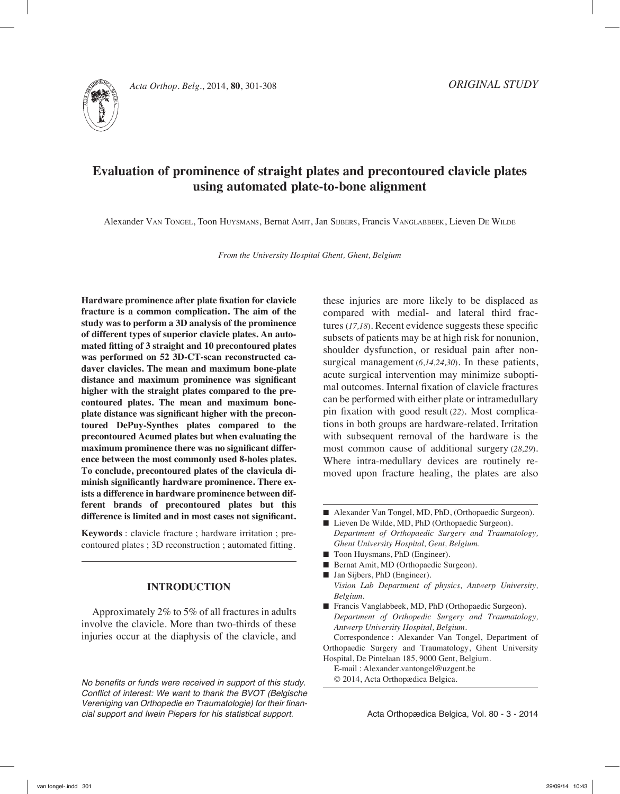

# **Evaluation of prominence of straight plates and precontoured clavicle plates using automated plate-to-bone alignment**

Alexander Van Tongel, Toon Huysmans, Bernat Amit, Jan Sijbers, Francis Vanglabbeek, Lieven De Wilde

*From the University Hospital Ghent, Ghent, Belgium*

**Hardware prominence after plate fixation for clavicle fracture is a common complication. The aim of the study was to perform a 3D analysis of the prominence of different types of superior clavicle plates. An automated fitting of 3 straight and 10 precontoured plates was performed on 52 3D-CT-scan reconstructed cadaver clavicles. The mean and maximum bone-plate distance and maximum prominence was significant higher with the straight plates compared to the precontoured plates. The mean and maximum boneplate distance was significant higher with the precontoured DePuy-Synthes plates compared to the precontoured Acumed plates but when evaluating the maximum prominence there was no significant difference between the most commonly used 8-holes plates. To conclude, precontoured plates of the clavicula diminish significantly hardware prominence. There exists a difference in hardware prominence between different brands of precontoured plates but this difference is limited and in most cases not significant.** 

**Keywords** : clavicle fracture ; hardware irritation ; precontoured plates ; 3D reconstruction ; automated fitting.

## **INTRODUCTION**

Approximately 2% to 5% of all fractures in adults involve the clavicle. More than two-thirds of these injuries occur at the diaphysis of the clavicle, and

*No benefits or funds were received in support of this study.* Conflict of interest: We want to thank the BVOT (Belgische Vereniging van Orthopedie en Traumatologie) for their financial support and Iwein Piepers for his statistical support.

these injuries are more likely to be displaced as compared with medial- and lateral third fractures (*17,18*). Recent evidence suggests these specific subsets of patients may be at high risk for nonunion, shoulder dysfunction, or residual pain after nonsurgical management (*6,14,24,30*). In these patients, acute surgical intervention may minimize suboptimal outcomes. Internal fixation of clavicle fractures can be performed with either plate or intramedullary pin fixation with good result (*22*). Most complications in both groups are hardware-related. Irritation with subsequent removal of the hardware is the most common cause of additional surgery (*28,29*). Where intra-medullary devices are routinely removed upon fracture healing, the plates are also

- Alexander Van Tongel, MD, PhD, (Orthopaedic Surgeon).
- Lieven De Wilde, MD, PhD (Orthopaedic Surgeon). *Department of Orthopaedic Surgery and Traumatology, Ghent University Hospital, Gent, Belgium.*
- Toon Huysmans, PhD (Engineer).
- Bernat Amit, MD (Orthopaedic Surgeon).
- Jan Sijbers, PhD (Engineer). *Vision Lab Department of physics, Antwerp University, Belgium.*
- Francis Vanglabbeek, MD, PhD (Orthopaedic Surgeon). *Department of Orthopedic Surgery and Traumatology, Antwerp University Hospital, Belgium.*

Correspondence : Alexander Van Tongel, Department of Orthopaedic Surgery and Traumatology, Ghent University Hospital, De Pintelaan 185, 9000 Gent, Belgium.

E-mail : Alexander.vantongel@uzgent.be © 2014, Acta Orthopædica Belgica.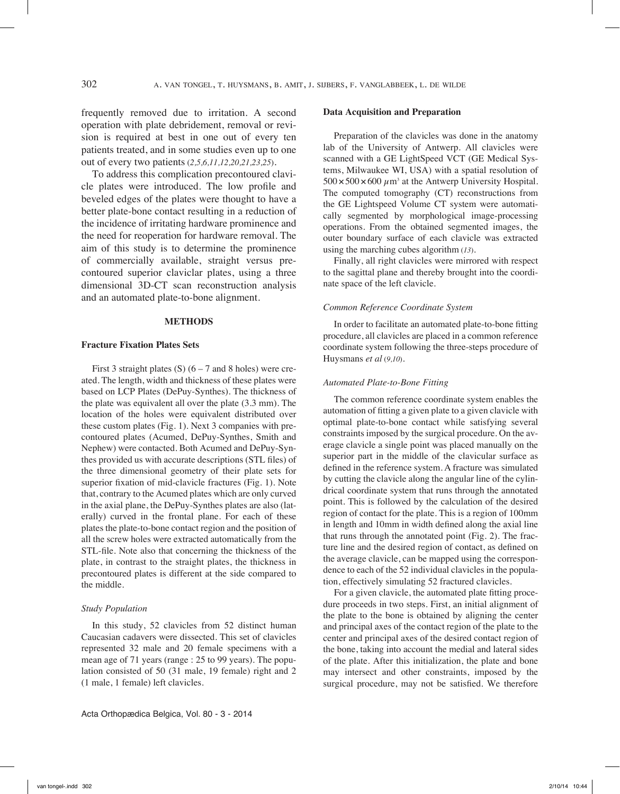frequently removed due to irritation. A second operation with plate debridement, removal or revision is required at best in one out of every ten patients treated, and in some studies even up to one out of every two patients (*2,5,6,11,12,20,21,23,25*).

To address this complication precontoured clavicle plates were introduced. The low profile and beveled edges of the plates were thought to have a better plate-bone contact resulting in a reduction of the incidence of irritating hardware prominence and the need for reoperation for hardware removal. The aim of this study is to determine the prominence of commercially available, straight versus precontoured superior claviclar plates, using a three dimensional 3D-CT scan reconstruction analysis and an automated plate-to-bone alignment.

## **METHODS**

#### **Fracture Fixation Plates Sets**

First 3 straight plates (S)  $(6 - 7$  and 8 holes) were created. The length, width and thickness of these plates were based on LCP Plates (DePuy-Synthes). The thickness of the plate was equivalent all over the plate (3.3 mm). The location of the holes were equivalent distributed over these custom plates (Fig. 1). Next 3 companies with precontoured plates (Acumed, DePuy-Synthes, Smith and Nephew) were contacted. Both Acumed and DePuy-Synthes provided us with accurate descriptions (STL files) of the three dimensional geometry of their plate sets for superior fixation of mid-clavicle fractures (Fig. 1). Note that, contrary to the Acumed plates which are only curved in the axial plane, the DePuy-Synthes plates are also (laterally) curved in the frontal plane. For each of these plates the plate-to-bone contact region and the position of all the screw holes were extracted automatically from the STL-file. Note also that concerning the thickness of the plate, in contrast to the straight plates, the thickness in precontoured plates is different at the side compared to the middle.

#### *Study Population*

In this study, 52 clavicles from 52 distinct human Caucasian cadavers were dissected. This set of clavicles represented 32 male and 20 female specimens with a mean age of 71 years (range : 25 to 99 years). The population consisted of 50 (31 male, 19 female) right and 2 (1 male, 1 female) left clavicles.

Preparation of the clavicles was done in the anatomy lab of the University of Antwerp. All clavicles were scanned with a GE LightSpeed VCT (GE Medical Systems, Milwaukee WI, USA) with a spatial resolution of  $500 \times 500 \times 600 \ \mu m^3$  at the Antwerp University Hospital. The computed tomography (CT) reconstructions from the GE Lightspeed Volume CT system were automatically segmented by morphological image-processing operations. From the obtained segmented images, the outer boundary surface of each clavicle was extracted using the marching cubes algorithm (*13*).

Finally, all right clavicles were mirrored with respect to the sagittal plane and thereby brought into the coordinate space of the left clavicle.

#### *Common Reference Coordinate System*

In order to facilitate an automated plate-to-bone fitting procedure, all clavicles are placed in a common reference coordinate system following the three-steps procedure of Huysmans *et al* (*9,10*).

### *Automated Plate-to-Bone Fitting*

The common reference coordinate system enables the automation of fitting a given plate to a given clavicle with optimal plate-to-bone contact while satisfying several constraints imposed by the surgical procedure. On the average clavicle a single point was placed manually on the superior part in the middle of the clavicular surface as defined in the reference system. A fracture was simulated by cutting the clavicle along the angular line of the cylindrical coordinate system that runs through the annotated point. This is followed by the calculation of the desired region of contact for the plate. This is a region of 100mm in length and 10mm in width defined along the axial line that runs through the annotated point (Fig. 2). The fracture line and the desired region of contact, as defined on the average clavicle, can be mapped using the correspondence to each of the 52 individual clavicles in the population, effectively simulating 52 fractured clavicles.

For a given clavicle, the automated plate fitting procedure proceeds in two steps. First, an initial alignment of the plate to the bone is obtained by aligning the center and principal axes of the contact region of the plate to the center and principal axes of the desired contact region of the bone, taking into account the medial and lateral sides of the plate. After this initialization, the plate and bone may intersect and other constraints, imposed by the surgical procedure, may not be satisfied. We therefore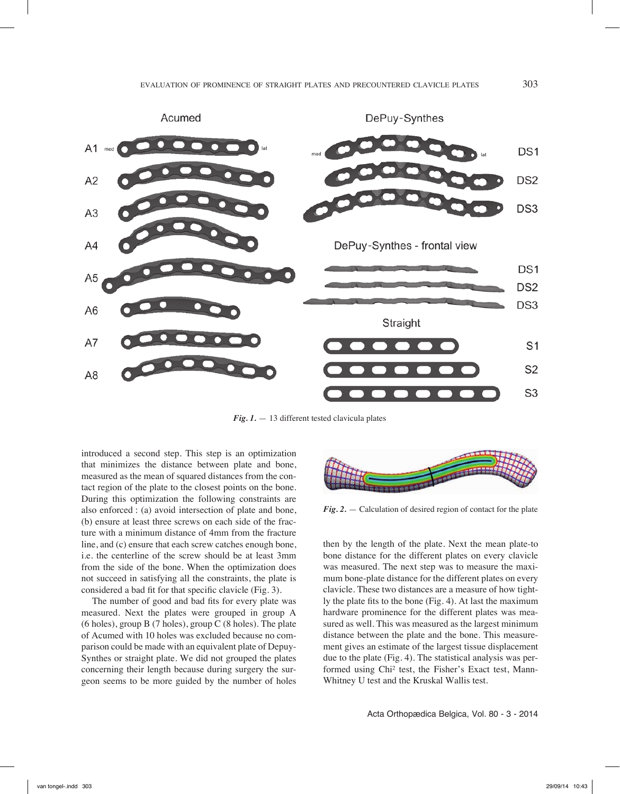

*Fig. 1.* — 13 different tested clavicula plates

introduced a second step. This step is an optimization that minimizes the distance between plate and bone, measured as the mean of squared distances from the contact region of the plate to the closest points on the bone. During this optimization the following constraints are also enforced : (a) avoid intersection of plate and bone, (b) ensure at least three screws on each side of the fracture with a minimum distance of 4mm from the fracture line, and (c) ensure that each screw catches enough bone, i.e. the centerline of the screw should be at least 3mm from the side of the bone. When the optimization does not succeed in satisfying all the constraints, the plate is considered a bad fit for that specific clavicle (Fig. 3).

The number of good and bad fits for every plate was measured. Next the plates were grouped in group A (6 holes), group B (7 holes), group C (8 holes). The plate of Acumed with 10 holes was excluded because no comparison could be made with an equivalent plate of Depuy-Synthes or straight plate. We did not grouped the plates concerning their length because during surgery the surgeon seems to be more guided by the number of holes



*Fig. 2.* — Calculation of desired region of contact for the plate

then by the length of the plate. Next the mean plate-to bone distance for the different plates on every clavicle was measured. The next step was to measure the maximum bone-plate distance for the different plates on every clavicle. These two distances are a measure of how tightly the plate fits to the bone (Fig. 4). At last the maximum hardware prominence for the different plates was measured as well. This was measured as the largest minimum distance between the plate and the bone. This measurement gives an estimate of the largest tissue displacement due to the plate (Fig. 4). The statistical analysis was performed using Chi² test, the Fisher's Exact test, Mann-Whitney U test and the Kruskal Wallis test.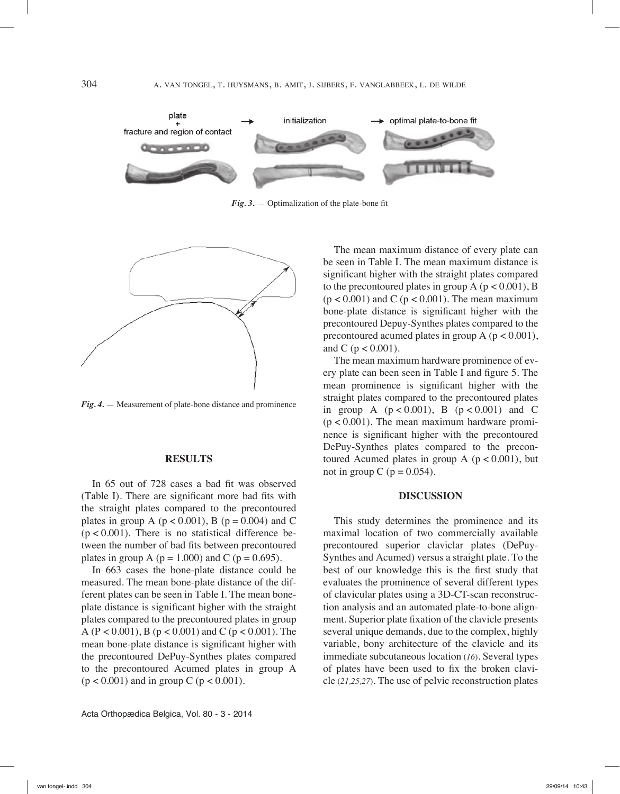

*Fig. 3.* — Optimalization of the plate-bone fit



*Fig. 4.* — Measurement of plate-bone distance and prominence

## **RESULTS**

In 65 out of 728 cases a bad fit was observed (Table I). There are significant more bad fits with the straight plates compared to the precontoured plates in group A ( $p < 0.001$ ), B ( $p = 0.004$ ) and C  $(p < 0.001)$ . There is no statistical difference between the number of bad fits between precontoured plates in group A ( $p = 1.000$ ) and C ( $p = 0.695$ ).

In 663 cases the bone-plate distance could be measured. The mean bone-plate distance of the different plates can be seen in Table I. The mean boneplate distance is significant higher with the straight plates compared to the precontoured plates in group A (P < 0.001), B ( $p$  < 0.001) and C ( $p$  < 0.001). The mean bone-plate distance is significant higher with the precontoured DePuy-Synthes plates compared to the precontoured Acumed plates in group A  $(p < 0.001)$  and in group C  $(p < 0.001)$ .

The mean maximum distance of every plate can be seen in Table I. The mean maximum distance is significant higher with the straight plates compared to the precontoured plates in group  $A$  ( $p < 0.001$ ), B  $(p < 0.001)$  and C  $(p < 0.001)$ . The mean maximum bone-plate distance is significant higher with the precontoured Depuy-Synthes plates compared to the precontoured acumed plates in group  $A$  ( $p < 0.001$ ), and C ( $p < 0.001$ ).

The mean maximum hardware prominence of every plate can been seen in Table I and figure 5. The mean prominence is significant higher with the straight plates compared to the precontoured plates in group A  $(p < 0.001)$ , B  $(p < 0.001)$  and C  $(p < 0.001)$ . The mean maximum hardware prominence is significant higher with the precontoured DePuy-Synthes plates compared to the precontoured Acumed plates in group A  $(p < 0.001)$ , but not in group C ( $p = 0.054$ ).

## **DISCUSSION**

This study determines the prominence and its maximal location of two commercially available precontoured superior claviclar plates (DePuy-Synthes and Acumed) versus a straight plate. To the best of our knowledge this is the first study that evaluates the prominence of several different types of clavicular plates using a 3D-CT-scan reconstruction analysis and an automated plate-to-bone alignment. Superior plate fixation of the clavicle presents several unique demands, due to the complex, highly variable, bony architecture of the clavicle and its immediate subcutaneous location (*16*). Several types of plates have been used to fix the broken clavicle (*21,25,27*). The use of pelvic reconstruction plates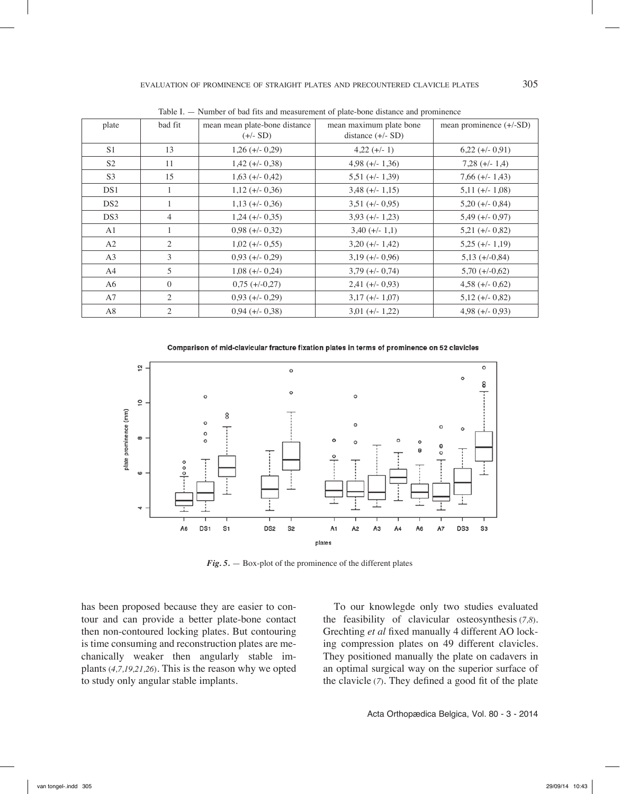| plate           | bad fit        | mean mean plate-bone distance<br>$(+/- SD)$ | mean maximum plate bone<br>distance $(+/- SD)$ | mean prominence $(+/-SD)$ |
|-----------------|----------------|---------------------------------------------|------------------------------------------------|---------------------------|
| S <sub>1</sub>  | 13             | $1,26 (+/- 0,29)$                           | $4,22 (+/- 1)$                                 | $6,22 (+/- 0.91)$         |
| S <sub>2</sub>  | 11             | $1,42 (+/- 0,38)$                           | $4.98 (+/- 1.36)$                              | $7,28 (+/- 1,4)$          |
| S <sub>3</sub>  | 15             | $1,63 (+/- 0,42)$                           | $5,51 (+/- 1,39)$                              | $7,66 (+/- 1,43)$         |
| DS1             | 1              | $1,12 (+/- 0,36)$                           | $3,48 (+/- 1,15)$                              | $5,11 (+/- 1,08)$         |
| DS <sub>2</sub> | 1              | $1,13 (+/- 0,36)$                           | $3,51 (+/- 0,95)$                              | $5,20 (+/- 0,84)$         |
| DS3             | $\overline{4}$ | $1,24 (+/- 0,35)$                           | $3,93 (+/- 1,23)$                              | $5,49 (+/- 0,97)$         |
| A <sub>1</sub>  | $\mathbf{1}$   | $0,98 (+/- 0,32)$                           | $3,40 (+/- 1,1)$                               | $5,21 (+/- 0,82)$         |
| A2              | 2              | $1,02 (+/- 0,55)$                           | $3,20 (+/- 1,42)$                              | $5,25 (+/- 1,19)$         |
| A <sub>3</sub>  | 3              | $0,93 (+/- 0,29)$                           | $3,19 (+/- 0,96)$                              | $5,13 (+/-0,84)$          |
| A4              | 5              | $1,08 (+/- 0,24)$                           | $3,79 (+/- 0,74)$                              | $5,70 (+/-0,62)$          |
| A6              | $\mathbf{0}$   | $0,75 (+/-0,27)$                            | $2,41 (+/- 0,93)$                              | $4,58 (+/- 0,62)$         |
| A7              | 2              | $0,93 (+/- 0,29)$                           | $3,17 (+/- 1,07)$                              | $5,12 (+/- 0,82)$         |
| A8              | 2              | $0,94 (+/- 0,38)$                           | $3,01 (+/- 1,22)$                              | $4,98 (+/- 0,93)$         |

Table I. — Number of bad fits and measurement of plate-bone distance and prominence

Comparison of mid-clavicular fracture fixation plates in terms of prominence on 52 clavicles



*Fig. 5.* — Box-plot of the prominence of the different plates

has been proposed because they are easier to contour and can provide a better plate-bone contact then non-contoured locking plates. But contouring is time consuming and reconstruction plates are mechanically weaker then angularly stable implants (*4,7,19,21,26*). This is the reason why we opted to study only angular stable implants.

To our knowlegde only two studies evaluated the feasibility of clavicular osteosynthesis (*7,8*). Grechting *et al* fixed manually 4 different AO locking compression plates on 49 different clavicles. They positioned manually the plate on cadavers in an optimal surgical way on the superior surface of the clavicle (*7*). They defined a good fit of the plate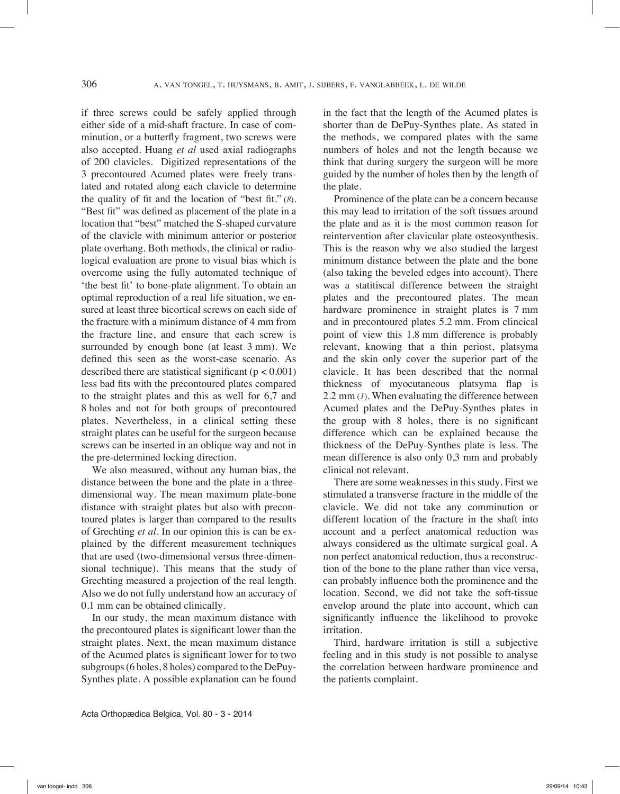if three screws could be safely applied through either side of a mid-shaft fracture. In case of comminution, or a butterfly fragment, two screws were also accepted. Huang *et al* used axial radiographs of 200 clavicles. Digitized representations of the 3 precontoured Acumed plates were freely translated and rotated along each clavicle to determine the quality of fit and the location of "best fit." (*8*). "Best fit" was defined as placement of the plate in a location that "best" matched the S-shaped curvature of the clavicle with minimum anterior or posterior plate overhang. Both methods, the clinical or radiological evaluation are prone to visual bias which is overcome using the fully automated technique of 'the best fit' to bone-plate alignment. To obtain an optimal reproduction of a real life situation, we ensured at least three bicortical screws on each side of the fracture with a minimum distance of 4 mm from the fracture line, and ensure that each screw is surrounded by enough bone (at least 3 mm). We defined this seen as the worst-case scenario. As described there are statistical significant ( $p < 0.001$ ) less bad fits with the precontoured plates compared to the straight plates and this as well for 6,7 and 8 holes and not for both groups of precontoured plates. Nevertheless, in a clinical setting these straight plates can be useful for the surgeon because screws can be inserted in an oblique way and not in the pre-determined locking direction.

We also measured, without any human bias, the distance between the bone and the plate in a threedimensional way. The mean maximum plate-bone distance with straight plates but also with precontoured plates is larger than compared to the results of Grechting *et al*. In our opinion this is can be explained by the different measurement techniques that are used (two-dimensional versus three-dimensional technique). This means that the study of Grechting measured a projection of the real length. Also we do not fully understand how an accuracy of 0.1 mm can be obtained clinically.

In our study, the mean maximum distance with the precontoured plates is significant lower than the straight plates. Next, the mean maximum distance of the Acumed plates is significant lower for to two subgroups (6 holes, 8 holes) compared to the DePuy-Synthes plate. A possible explanation can be found in the fact that the length of the Acumed plates is shorter than de DePuy-Synthes plate. As stated in the methods, we compared plates with the same numbers of holes and not the length because we think that during surgery the surgeon will be more guided by the number of holes then by the length of the plate.

Prominence of the plate can be a concern because this may lead to irritation of the soft tissues around the plate and as it is the most common reason for reintervention after clavicular plate osteosynthesis. This is the reason why we also studied the largest minimum distance between the plate and the bone (also taking the beveled edges into account). There was a statitiscal difference between the straight plates and the precontoured plates. The mean hardware prominence in straight plates is 7 mm and in precontoured plates 5.2 mm. From clincical point of view this 1.8 mm difference is probably relevant, knowing that a thin periost, platsyma and the skin only cover the superior part of the clavicle. It has been described that the normal thickness of myocutaneous platsyma flap is 2.2 mm (*1*). When evaluating the difference between Acumed plates and the DePuy-Synthes plates in the group with 8 holes, there is no significant difference which can be explained because the thickness of the DePuy-Synthes plate is less. The mean difference is also only 0,3 mm and probably clinical not relevant.

There are some weaknesses in this study. First we stimulated a transverse fracture in the middle of the clavicle. We did not take any comminution or different location of the fracture in the shaft into account and a perfect anatomical reduction was always considered as the ultimate surgical goal. A non perfect anatomical reduction, thus a reconstruction of the bone to the plane rather than vice versa, can probably influence both the prominence and the location. Second, we did not take the soft-tissue envelop around the plate into account, which can significantly influence the likelihood to provoke irritation.

Third, hardware irritation is still a subjective feeling and in this study is not possible to analyse the correlation between hardware prominence and the patients complaint.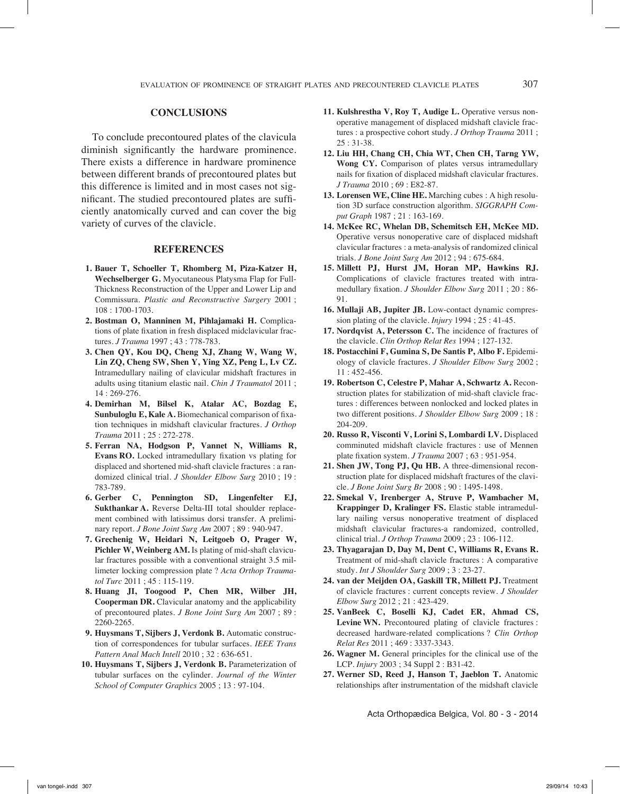To conclude precontoured plates of the clavicula diminish significantly the hardware prominence. There exists a difference in hardware prominence between different brands of precontoured plates but this difference is limited and in most cases not significant. The studied precontoured plates are sufficiently anatomically curved and can cover the big variety of curves of the clavicle.

## **REFERENCES**

- **1. Bauer T, Schoeller T, Rhomberg M, Piza-Katzer H, Wechselberger G.** Myocutaneous Platysma Flap for Full-Thickness Reconstruction of the Upper and Lower Lip and Commissura. *Plastic and Reconstructive Surgery* 2001 ; 108 : 1700-1703.
- **2. Bostman O, Manninen M, Pihlajamaki H.** Complications of plate fixation in fresh displaced midclavicular fractures. *J Trauma* 1997 ; 43 : 778-783.
- **3. Chen QY, Kou DQ, Cheng XJ, Zhang W, Wang W, Lin ZQ, Cheng SW, Shen Y, Ying XZ, Peng L, Lv CZ.** Intramedullary nailing of clavicular midshaft fractures in adults using titanium elastic nail. *Chin J Traumatol* 2011 ; 14 : 269-276.
- **4. Demirhan M, Bilsel K, Atalar AC, Bozdag E, Sunbuloglu E, Kale A.** Biomechanical comparison of fixation techniques in midshaft clavicular fractures. *J Orthop Trauma* 2011 ; 25 : 272-278.
- **5. Ferran NA, Hodgson P, Vannet N, Williams R, Evans RO.** Locked intramedullary fixation vs plating for displaced and shortened mid-shaft clavicle fractures : a randomized clinical trial. *J Shoulder Elbow Surg* 2010 ; 19 : 783-789.
- **6. Gerber C, Pennington SD, Lingenfelter EJ, Sukthankar A.** Reverse Delta-III total shoulder replacement combined with latissimus dorsi transfer. A preliminary report. *J Bone Joint Surg Am* 2007 ; 89 : 940-947.
- **7. Grechenig W, Heidari N, Leitgoeb O, Prager W, Pichler W, Weinberg AM.** Is plating of mid-shaft clavicular fractures possible with a conventional straight 3.5 millimeter locking compression plate ? *Acta Orthop Traumatol Turc* 2011 ; 45 : 115-119.
- **8. Huang JI, Toogood P, Chen MR, Wilber JH, Cooperman DR.** Clavicular anatomy and the applicability of precontoured plates. *J Bone Joint Surg Am* 2007 ; 89 : 2260-2265.
- **9. Huysmans T, Sijbers J, Verdonk B.** Automatic construction of correspondences for tubular surfaces. *IEEE Trans Pattern Anal Mach Intell* 2010 ; 32 : 636-651.
- **10. Huysmans T, Sijbers J, Verdonk B.** Parameterization of tubular surfaces on the cylinder. *Journal of the Winter School of Computer Graphics* 2005 ; 13 : 97-104.
- **11. Kulshrestha V, Roy T, Audige L.** Operative versus nonoperative management of displaced midshaft clavicle fractures : a prospective cohort study. *J Orthop Trauma* 2011 ; 25 : 31-38.
- **12. Liu HH, Chang CH, Chia WT, Chen CH, Tarng YW, Wong CY.** Comparison of plates versus intramedullary nails for fixation of displaced midshaft clavicular fractures. *J Trauma* 2010 ; 69 : E82-87.
- **13. Lorensen WE, Cline HE.** Marching cubes : A high resolution 3D surface construction algorithm. *SIGGRAPH Comput Graph* 1987 ; 21 : 163-169.
- **14. McKee RC, Whelan DB, Schemitsch EH, McKee MD.** Operative versus nonoperative care of displaced midshaft clavicular fractures : a meta-analysis of randomized clinical trials. *J Bone Joint Surg Am* 2012 ; 94 : 675-684.
- **15. Millett PJ, Hurst JM, Horan MP, Hawkins RJ.** Complications of clavicle fractures treated with intramedullary fixation. *J Shoulder Elbow Surg* 2011 ; 20 : 86- 91.
- **16. Mullaji AB, Jupiter JB.** Low-contact dynamic compression plating of the clavicle. *Injury* 1994 ; 25 : 41-45.
- **17. Nordqvist A, Petersson C.** The incidence of fractures of the clavicle. *Clin Orthop Relat Res* 1994 ; 127-132.
- **18. Postacchini F, Gumina S, De Santis P, Albo F.** Epidemiology of clavicle fractures. *J Shoulder Elbow Surg* 2002 ; 11 : 452-456.
- **19. Robertson C, Celestre P, Mahar A, Schwartz A.** Reconstruction plates for stabilization of mid-shaft clavicle fractures : differences between nonlocked and locked plates in two different positions. *J Shoulder Elbow Surg* 2009 ; 18 : 204-209.
- **20. Russo R, Visconti V, Lorini S, Lombardi LV.** Displaced comminuted midshaft clavicle fractures : use of Mennen plate fixation system. *J Trauma* 2007 ; 63 : 951-954.
- **21. Shen JW, Tong PJ, Qu HB.** A three-dimensional reconstruction plate for displaced midshaft fractures of the clavicle. *J Bone Joint Surg Br* 2008 ; 90 : 1495-1498.
- **22. Smekal V, Irenberger A, Struve P, Wambacher M, Krappinger D, Kralinger FS.** Elastic stable intramedullary nailing versus nonoperative treatment of displaced midshaft clavicular fractures-a randomized, controlled, clinical trial. *J Orthop Trauma* 2009 ; 23 : 106-112.
- **23. Thyagarajan D, Day M, Dent C, Williams R, Evans R.** Treatment of mid-shaft clavicle fractures : A comparative study. *Int J Shoulder Surg* 2009 ; 3 : 23-27.
- **24. van der Meijden OA, Gaskill TR, Millett PJ.** Treatment of clavicle fractures : current concepts review. *J Shoulder Elbow Surg* 2012 ; 21 : 423-429.
- **25. VanBeek C, Boselli KJ, Cadet ER, Ahmad CS, Levine WN.** Precontoured plating of clavicle fractures : decreased hardware-related complications ? *Clin Orthop Relat Res* 2011 ; 469 : 3337-3343.
- **26. Wagner M.** General principles for the clinical use of the LCP. *Injury* 2003 ; 34 Suppl 2 : B31-42.
- **27. Werner SD, Reed J, Hanson T, Jaeblon T.** Anatomic relationships after instrumentation of the midshaft clavicle